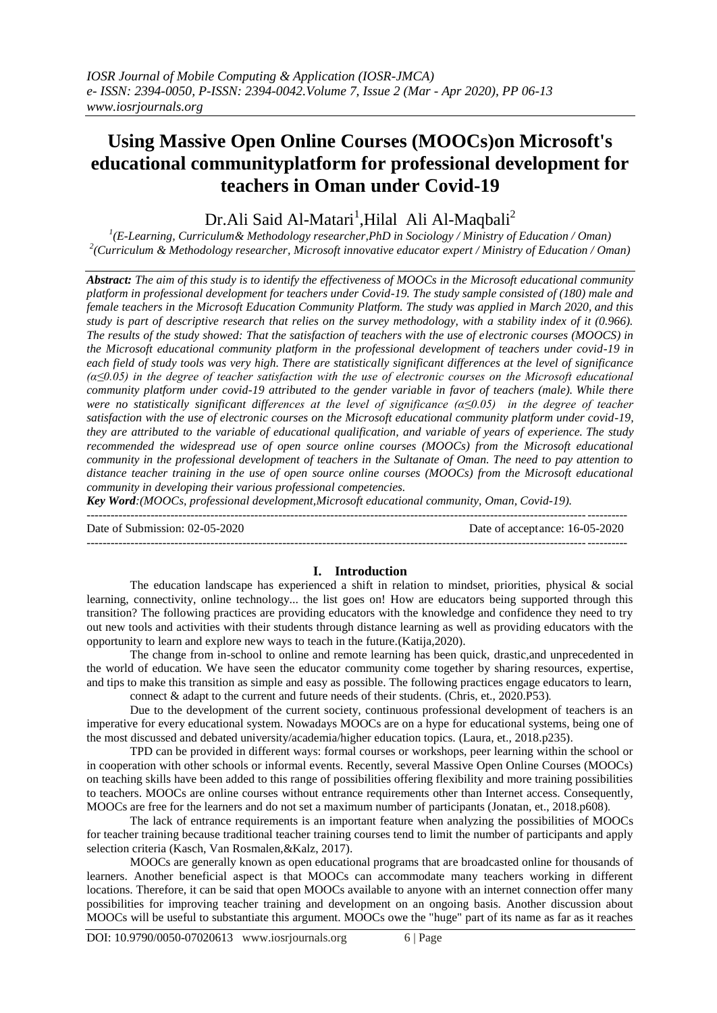# **Using Massive Open Online Courses (MOOCs)on Microsoft's educational communityplatform for professional development for teachers in Oman under Covid-19**

## Dr.Ali Said Al-Matari<sup>1</sup>,Hilal Ali Al-Maqbali<sup>2</sup>

*1 (E-Learning, Curriculum& Methodology researcher,PhD in Sociology / Ministry of Education / Oman) 2 (Curriculum & Methodology researcher, Microsoft innovative educator expert / Ministry of Education / Oman)*

*Abstract: The aim of this study is to identify the effectiveness of MOOCs in the Microsoft educational community platform in professional development for teachers under Covid-19. The study sample consisted of (180) male and female teachers in the Microsoft Education Community Platform. The study was applied in March 2020, and this study is part of descriptive research that relies on the survey methodology, with a stability index of it (0.966). The results of the study showed: That the satisfaction of teachers with the use of electronic courses (MOOCS) in the Microsoft educational community platform in the professional development of teachers under covid-19 in each field of study tools was very high. There are statistically significant differences at the level of significance (α≤0.05) in the degree of teacher satisfaction with the use of electronic courses on the Microsoft educational community platform under covid-19 attributed to the gender variable in favor of teachers (male). While there were no statistically significant differences at the level of significance (α≤0.05) in the degree of teacher satisfaction with the use of electronic courses on the Microsoft educational community platform under covid-19, they are attributed to the variable of educational qualification, and variable of years of experience. The study recommended the widespread use of open source online courses (MOOCs) from the Microsoft educational community in the professional development of teachers in the Sultanate of Oman. The need to pay attention to distance teacher training in the use of open source online courses (MOOCs) from the Microsoft educational community in developing their various professional competencies.*

*Key Word:(MOOCs, professional development,Microsoft educational community, Oman, Covid-19).*

 $-1-\frac{1}{2}$ 

---------------------------------------------------------------------------------------------------------------------------------------

Date of Submission: 02-05-2020 Date of acceptance: 16-05-2020

## **I. Introduction**

The education landscape has experienced a shift in relation to mindset, priorities, physical & social learning, connectivity, online technology... the list goes on! How are educators being supported through this transition? The following practices are providing educators with the knowledge and confidence they need to try out new tools and activities with their students through distance learning as well as providing educators with the opportunity to learn and explore new ways to teach in the future.(Katija,2020).

The change from in-school to online and remote learning has been quick, drastic,and unprecedented in the world of education. We have seen the educator community come together by sharing resources, expertise, and tips to make this transition as simple and easy as possible. The following practices engage educators to learn, connect & adapt to the current and future needs of their students. (Chris, et., 2020.P53).

Due to the development of the current society, continuous professional development of teachers is an imperative for every educational system. Nowadays MOOCs are on a hype for educational systems, being one of the most discussed and debated university/academia/higher education topics. (Laura, et., 2018.p235).

TPD can be provided in different ways: formal courses or workshops, peer learning within the school or in cooperation with other schools or informal events. Recently, several Massive Open Online Courses (MOOCs) on teaching skills have been added to this range of possibilities offering flexibility and more training possibilities to teachers. MOOCs are online courses without entrance requirements other than Internet access. Consequently, MOOCs are free for the learners and do not set a maximum number of participants (Jonatan, et., 2018.p608).

The lack of entrance requirements is an important feature when analyzing the possibilities of MOOCs for teacher training because traditional teacher training courses tend to limit the number of participants and apply selection criteria (Kasch, Van Rosmalen,&Kalz, 2017).

MOOCs are generally known as open educational programs that are broadcasted online for thousands of learners. Another beneficial aspect is that MOOCs can accommodate many teachers working in different locations. Therefore, it can be said that open MOOCs available to anyone with an internet connection offer many possibilities for improving teacher training and development on an ongoing basis. Another discussion about MOOCs will be useful to substantiate this argument. MOOCs owe the "huge" part of its name as far as it reaches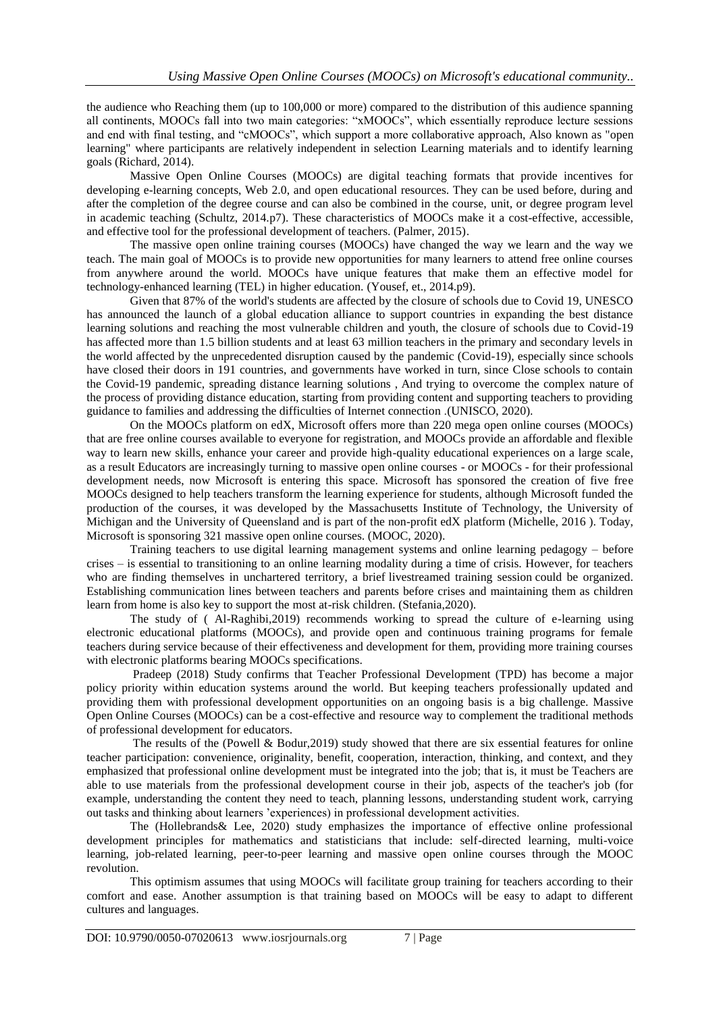the audience who Reaching them (up to 100,000 or more) compared to the distribution of this audience spanning all continents, MOOCs fall into two main categories: "xMOOCs", which essentially reproduce lecture sessions and end with final testing, and "cMOOCs", which support a more collaborative approach, Also known as "open learning" where participants are relatively independent in selection Learning materials and to identify learning goals (Richard, 2014).

Massive Open Online Courses (MOOCs) are digital teaching formats that provide incentives for developing e-learning concepts, Web 2.0, and open educational resources. They can be used before, during and after the completion of the degree course and can also be combined in the course, unit, or degree program level in academic teaching (Schultz, 2014.p7). These characteristics of MOOCs make it a cost-effective, accessible, and effective tool for the professional development of teachers. (Palmer, 2015).

The massive open online training courses (MOOCs) have changed the way we learn and the way we teach. The main goal of MOOCs is to provide new opportunities for many learners to attend free online courses from anywhere around the world. MOOCs have unique features that make them an effective model for technology-enhanced learning (TEL) in higher education. (Yousef, et., 2014.p9).

Given that 87% of the world's students are affected by the closure of schools due to Covid 19, UNESCO has announced the launch of a global education alliance to support countries in expanding the best distance learning solutions and reaching the most vulnerable children and youth, the closure of schools due to Covid-19 has affected more than 1.5 billion students and at least 63 million teachers in the primary and secondary levels in the world affected by the unprecedented disruption caused by the pandemic (Covid-19), especially since schools have closed their doors in 191 countries, and governments have worked in turn, since Close schools to contain the Covid-19 pandemic, spreading distance learning solutions , And trying to overcome the complex nature of the process of providing distance education, starting from providing content and supporting teachers to providing guidance to families and addressing the difficulties of Internet connection .(UNISCO, 2020).

On the MOOCs platform on edX, Microsoft offers more than 220 mega open online courses (MOOCs) that are free online courses available to everyone for registration, and MOOCs provide an affordable and flexible way to learn new skills, enhance your career and provide high-quality educational experiences on a large scale, as a result Educators are increasingly turning to massive open online courses - or MOOCs - for their professional development needs, now Microsoft is entering this space. Microsoft has sponsored the creation of five free MOOCs designed to help teachers transform the learning experience for students, although Microsoft funded the production of the courses, it was developed by the Massachusetts Institute of Technology, the University of Michigan and the University of Queensland and is part of the non-profit edX platform (Michelle, 2016 ). Today, Microsoft is sponsoring 321 massive open online courses. (MOOC, 2020).

Training teachers to use digital learning management systems and online learning pedagogy – before crises – is essential to transitioning to an online learning modality during a time of crisis. However, for teachers who are finding themselves in unchartered territory, a brief livestreamed training session could be organized. Establishing communication lines between teachers and parents before crises and maintaining them as children learn from home is also key to support the most at-risk children. (Stefania,2020).

The study of ( Al-Raghibi,2019) recommends working to spread the culture of e-learning using electronic educational platforms (MOOCs), and provide open and continuous training programs for female teachers during service because of their effectiveness and development for them, providing more training courses with electronic platforms bearing MOOCs specifications.

Pradeep (2018) Study confirms that Teacher Professional Development (TPD) has become a major policy priority within education systems around the world. But keeping teachers professionally updated and providing them with professional development opportunities on an ongoing basis is a big challenge. Massive Open Online Courses (MOOCs) can be a cost-effective and resource way to complement the traditional methods of professional development for educators.

The results of the (Powell & Bodur,2019) study showed that there are six essential features for online teacher participation: convenience, originality, benefit, cooperation, interaction, thinking, and context, and they emphasized that professional online development must be integrated into the job; that is, it must be Teachers are able to use materials from the professional development course in their job, aspects of the teacher's job (for example, understanding the content they need to teach, planning lessons, understanding student work, carrying out tasks and thinking about learners 'experiences) in professional development activities.

The (Hollebrands& Lee, 2020) study emphasizes the importance of effective online professional development principles for mathematics and statisticians that include: self-directed learning, multi-voice learning, job-related learning, peer-to-peer learning and massive open online courses through the MOOC revolution.

This optimism assumes that using MOOCs will facilitate group training for teachers according to their comfort and ease. Another assumption is that training based on MOOCs will be easy to adapt to different cultures and languages.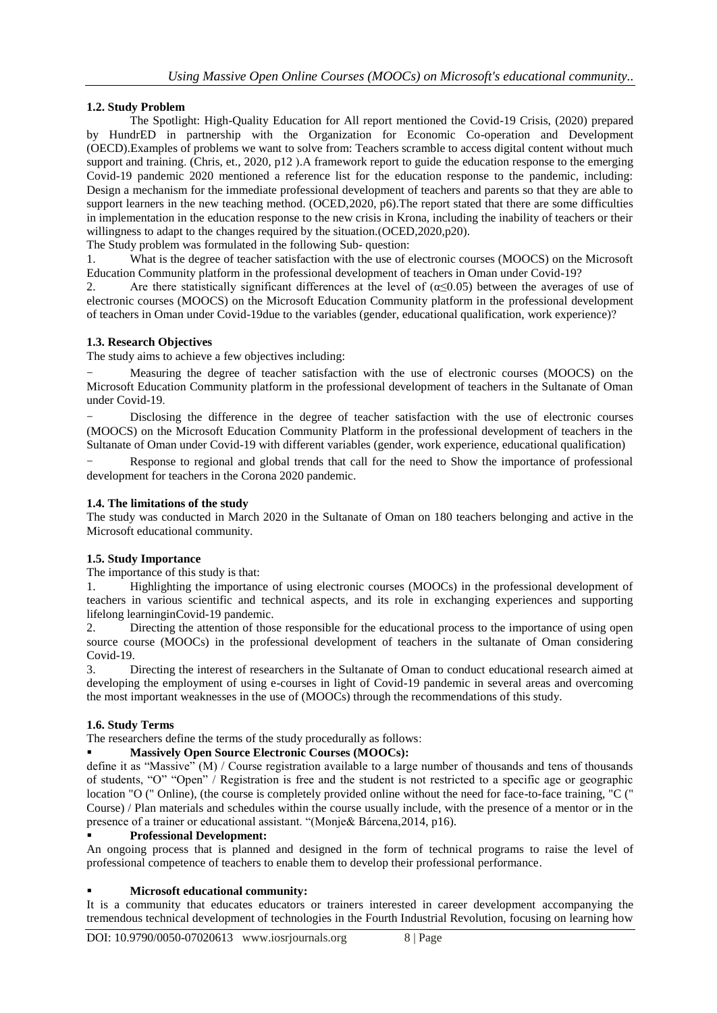## **1.2. Study Problem**

The Spotlight: High-Quality Education for All report mentioned the Covid-19 Crisis, (2020) prepared by HundrED in partnership with the Organization for Economic Co-operation and Development (OECD).Examples of problems we want to solve from: Teachers scramble to access digital content without much support and training. (Chris, et., 2020, p12). A framework report to guide the education response to the emerging Covid-19 pandemic 2020 mentioned a reference list for the education response to the pandemic, including: Design a mechanism for the immediate professional development of teachers and parents so that they are able to support learners in the new teaching method. (OCED,2020, p6). The report stated that there are some difficulties in implementation in the education response to the new crisis in Krona, including the inability of teachers or their willingness to adapt to the changes required by the situation.  $(OCED, 2020, p20)$ .

The Study problem was formulated in the following Sub- question:

1. What is the degree of teacher satisfaction with the use of electronic courses (MOOCS) on the Microsoft Education Community platform in the professional development of teachers in Oman under Covid-19?

2. Are there statistically significant differences at the level of  $(\alpha \le 0.05)$  between the averages of use of electronic courses (MOOCS) on the Microsoft Education Community platform in the professional development of teachers in Oman under Covid-19due to the variables (gender, educational qualification, work experience)?

## **1.3. Research Objectives**

The study aims to achieve a few objectives including:

Measuring the degree of teacher satisfaction with the use of electronic courses (MOOCS) on the Microsoft Education Community platform in the professional development of teachers in the Sultanate of Oman under Covid-19.

- Disclosing the difference in the degree of teacher satisfaction with the use of electronic courses (MOOCS) on the Microsoft Education Community Platform in the professional development of teachers in the Sultanate of Oman under Covid-19 with different variables (gender, work experience, educational qualification)

Response to regional and global trends that call for the need to Show the importance of professional development for teachers in the Corona 2020 pandemic.

#### **1.4. The limitations of the study**

The study was conducted in March 2020 in the Sultanate of Oman on 180 teachers belonging and active in the Microsoft educational community.

#### **1.5. Study Importance**

The importance of this study is that:

1. Highlighting the importance of using electronic courses (MOOCs) in the professional development of teachers in various scientific and technical aspects, and its role in exchanging experiences and supporting lifelong learninginCovid-19 pandemic.

2. Directing the attention of those responsible for the educational process to the importance of using open source course (MOOCs) in the professional development of teachers in the sultanate of Oman considering Covid-19.

3. Directing the interest of researchers in the Sultanate of Oman to conduct educational research aimed at developing the employment of using e-courses in light of Covid-19 pandemic in several areas and overcoming the most important weaknesses in the use of (MOOCs) through the recommendations of this study.

## **1.6. Study Terms**

The researchers define the terms of the study procedurally as follows:

## **Massively Open Source Electronic Courses (MOOCs):**

define it as "Massive" (M) / Course registration available to a large number of thousands and tens of thousands of students, "O" "Open" / Registration is free and the student is not restricted to a specific age or geographic location "O (" Online), (the course is completely provided online without the need for face-to-face training, "C (" Course) / Plan materials and schedules within the course usually include, with the presence of a mentor or in the presence of a trainer or educational assistant. "(Monje& Bárcena, 2014, p16).

#### **Professional Development:**

An ongoing process that is planned and designed in the form of technical programs to raise the level of professional competence of teachers to enable them to develop their professional performance.

## **Microsoft educational community:**

It is a community that educates educators or trainers interested in career development accompanying the tremendous technical development of technologies in the Fourth Industrial Revolution, focusing on learning how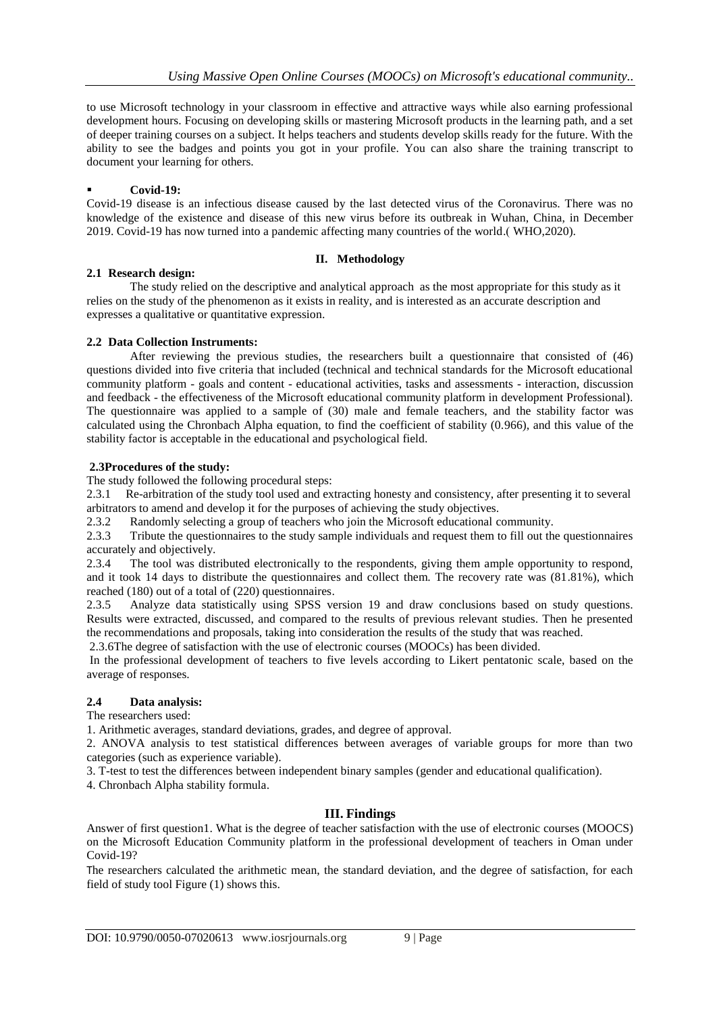to use Microsoft technology in your classroom in effective and attractive ways while also earning professional development hours. Focusing on developing skills or mastering Microsoft products in the learning path, and a set of deeper training courses on a subject. It helps teachers and students develop skills ready for the future. With the ability to see the badges and points you got in your profile. You can also share the training transcript to document your learning for others.

#### **Covid-19:**

Covid-19 disease is an infectious disease caused by the last detected virus of the Coronavirus. There was no knowledge of the existence and disease of this new virus before its outbreak in Wuhan, China, in December 2019. Covid-19 has now turned into a pandemic affecting many countries of the world.) WHO,2020).

#### **II. Methodology**

#### **2.1 Research design:**

The study relied on the descriptive and analytical approach as the most appropriate for this study as it relies on the study of the phenomenon as it exists in reality, and is interested as an accurate description and expresses a qualitative or quantitative expression.

#### **2.2 Data Collection Instruments:**

After reviewing the previous studies, the researchers built a questionnaire that consisted of (46) questions divided into five criteria that included (technical and technical standards for the Microsoft educational community platform - goals and content - educational activities, tasks and assessments - interaction, discussion and feedback - the effectiveness of the Microsoft educational community platform in development Professional). The questionnaire was applied to a sample of (30) male and female teachers, and the stability factor was calculated using the Chronbach Alpha equation, to find the coefficient of stability (0.966), and this value of the stability factor is acceptable in the educational and psychological field.

#### **2.3Procedures of the study:**

The study followed the following procedural steps:

2.3.1 Re-arbitration of the study tool used and extracting honesty and consistency, after presenting it to several arbitrators to amend and develop it for the purposes of achieving the study objectives.

2.3.2 Randomly selecting a group of teachers who join the Microsoft educational community.

2.3.3 Tribute the questionnaires to the study sample individuals and request them to fill out the questionnaires accurately and objectively.

2.3.4 The tool was distributed electronically to the respondents, giving them ample opportunity to respond, and it took 14 days to distribute the questionnaires and collect them. The recovery rate was (81.81%), which reached (180) out of a total of (220) questionnaires.

2.3.5 Analyze data statistically using SPSS version 19 and draw conclusions based on study questions. Results were extracted, discussed, and compared to the results of previous relevant studies. Then he presented the recommendations and proposals, taking into consideration the results of the study that was reached.

2.3.6The degree of satisfaction with the use of electronic courses (MOOCs) has been divided.

In the professional development of teachers to five levels according to Likert pentatonic scale, based on the average of responses.

## **2.4 Data analysis:**

The researchers used:

1. Arithmetic averages, standard deviations, grades, and degree of approval.

2. ANOVA analysis to test statistical differences between averages of variable groups for more than two categories (such as experience variable).

3. T-test to test the differences between independent binary samples (gender and educational qualification).

4. Chronbach Alpha stability formula.

## **III. Findings**

Answer of first question1. What is the degree of teacher satisfaction with the use of electronic courses (MOOCS) on the Microsoft Education Community platform in the professional development of teachers in Oman under Covid-19?

The researchers calculated the arithmetic mean, the standard deviation, and the degree of satisfaction, for each field of study tool Figure (1) shows this.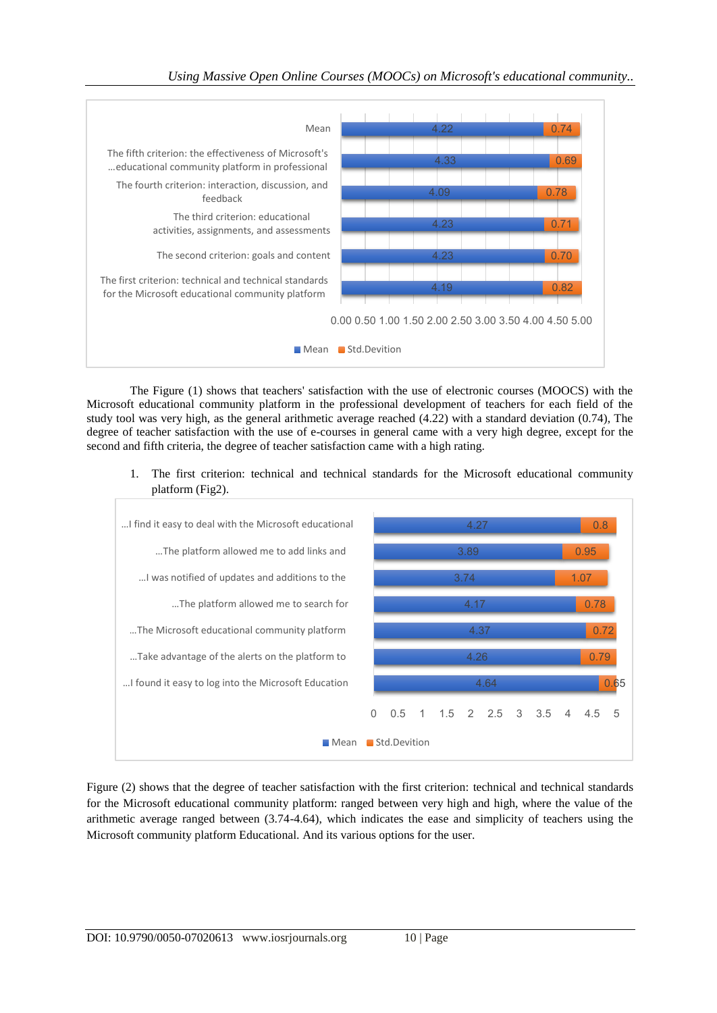

The Figure (1) shows that teachers' satisfaction with the use of electronic courses (MOOCS) with the Microsoft educational community platform in the professional development of teachers for each field of the study tool was very high, as the general arithmetic average reached (4.22) with a standard deviation (0.74), The degree of teacher satisfaction with the use of e-courses in general came with a very high degree, except for the second and fifth criteria, the degree of teacher satisfaction came with a high rating.

1. The first criterion: technical and technical standards for the Microsoft educational community platform (Fig2).



Figure (2) shows that the degree of teacher satisfaction with the first criterion: technical and technical standards for the Microsoft educational community platform: ranged between very high and high, where the value of the arithmetic average ranged between (3.74-4.64), which indicates the ease and simplicity of teachers using the Microsoft community platform Educational. And its various options for the user.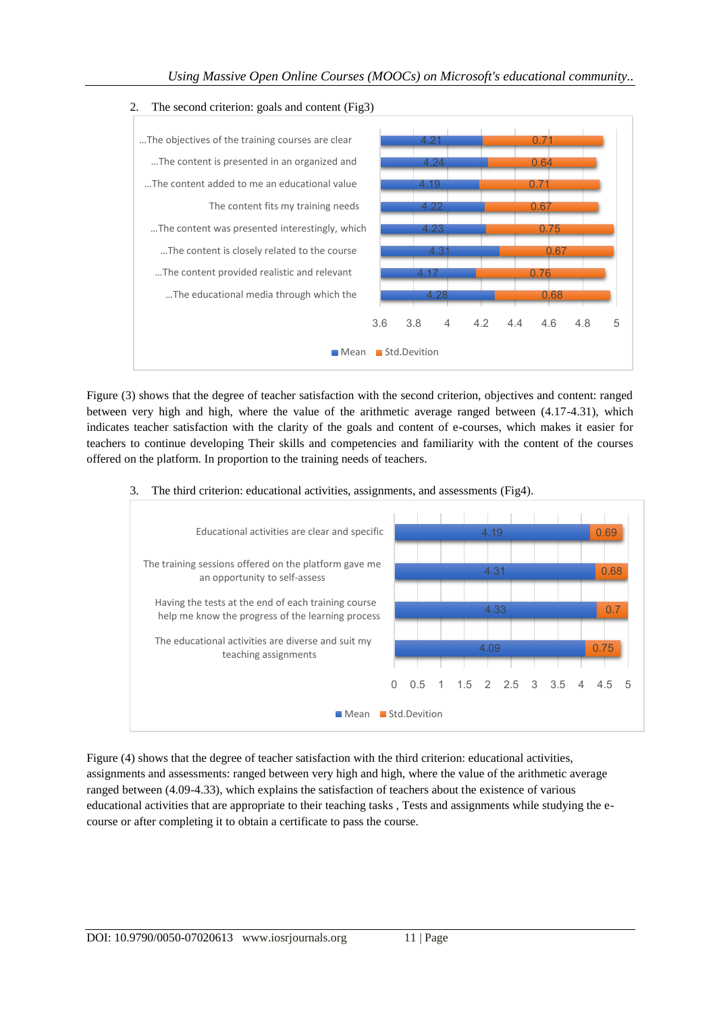

Figure (3) shows that the degree of teacher satisfaction with the second criterion, objectives and content: ranged between very high and high, where the value of the arithmetic average ranged between (4.17-4.31), which indicates teacher satisfaction with the clarity of the goals and content of e-courses, which makes it easier for teachers to continue developing Their skills and competencies and familiarity with the content of the courses offered on the platform. In proportion to the training needs of teachers.

3. The third criterion: educational activities, assignments, and assessments (Fig4).



Figure (4) shows that the degree of teacher satisfaction with the third criterion: educational activities, assignments and assessments: ranged between very high and high, where the value of the arithmetic average ranged between (4.09-4.33), which explains the satisfaction of teachers about the existence of various educational activities that are appropriate to their teaching tasks , Tests and assignments while studying the ecourse or after completing it to obtain a certificate to pass the course.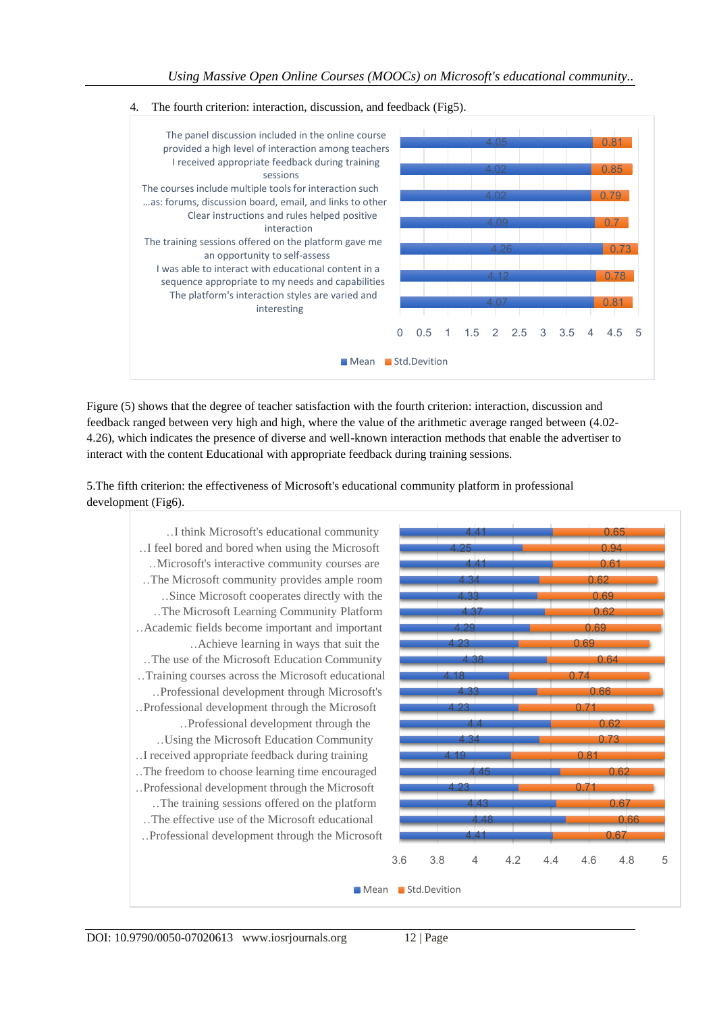



Figure (5) shows that the degree of teacher satisfaction with the fourth criterion: interaction, discussion and feedback ranged between very high and high, where the value of the arithmetic average ranged between (4.02- 4.26), which indicates the presence of diverse and well-known interaction methods that enable the advertiser to interact with the content Educational with appropriate feedback during training sessions.

5.The fifth criterion: the effectiveness of Microsoft's educational community platform in professional development (Fig6).

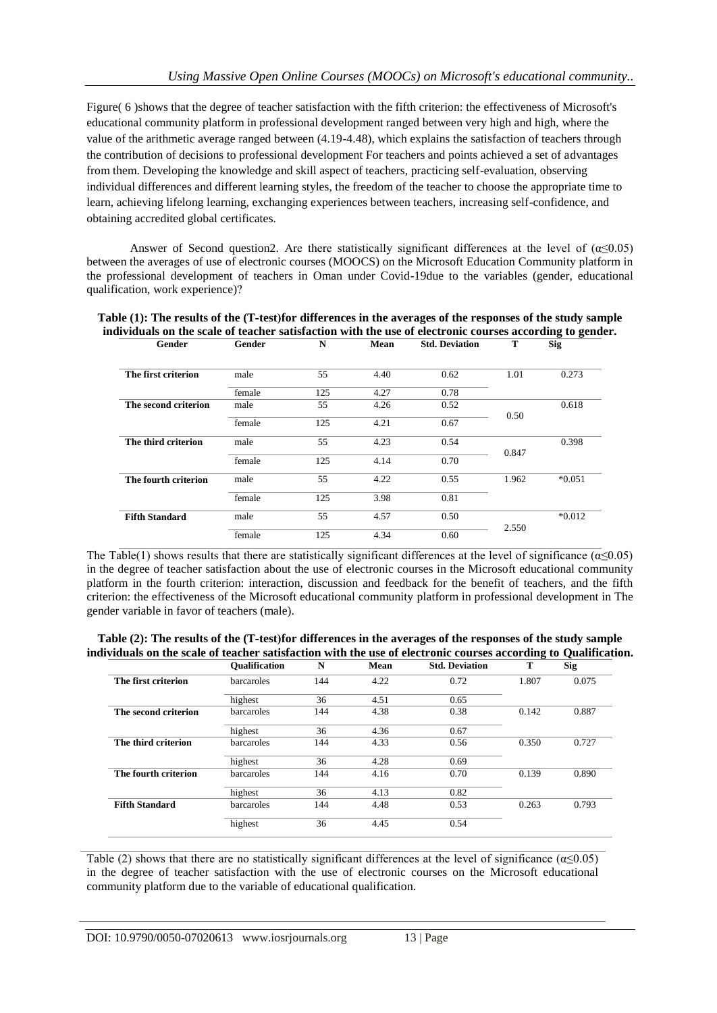Figure( 6 )shows that the degree of teacher satisfaction with the fifth criterion: the effectiveness of Microsoft's educational community platform in professional development ranged between very high and high, where the value of the arithmetic average ranged between (4.19-4.48), which explains the satisfaction of teachers through the contribution of decisions to professional development For teachers and points achieved a set of advantages from them. Developing the knowledge and skill aspect of teachers, practicing self-evaluation, observing individual differences and different learning styles, the freedom of the teacher to choose the appropriate time to learn, achieving lifelong learning, exchanging experiences between teachers, increasing self-confidence, and obtaining accredited global certificates.

Answer of Second question2. Are there statistically significant differences at the level of  $(\alpha \le 0.05)$ between the averages of use of electronic courses (MOOCS) on the Microsoft Education Community platform in the professional development of teachers in Oman under Covid-19due to the variables (gender, educational qualification, work experience)?

| Gender                | Gender | N   | Mean | <b>Std. Deviation</b> | Т     | <b>Sig</b> |
|-----------------------|--------|-----|------|-----------------------|-------|------------|
| The first criterion   | male   | 55  | 4.40 | 0.62                  | 1.01  | 0.273      |
|                       | female | 125 | 4.27 | 0.78                  |       |            |
| The second criterion  | male   | 55  | 4.26 | 0.52                  |       | 0.618      |
|                       | female | 125 | 4.21 | 0.67                  | 0.50  |            |
| The third criterion   | male   | 55  | 4.23 | 0.54                  |       | 0.398      |
|                       | female | 125 | 4.14 | 0.70                  | 0.847 |            |
| The fourth criterion  | male   | 55  | 4.22 | 0.55                  | 1.962 | $*0.051$   |
|                       | female | 125 | 3.98 | 0.81                  |       |            |
| <b>Fifth Standard</b> | male   | 55  | 4.57 | 0.50                  |       | $*0.012$   |
|                       | female | 125 | 4.34 | 0.60                  | 2.550 |            |

| Table (1): The results of the (T-test) for differences in the averages of the responses of the study sample |  |                                                                                                                                                                                                                                                                                                                           |  |  |
|-------------------------------------------------------------------------------------------------------------|--|---------------------------------------------------------------------------------------------------------------------------------------------------------------------------------------------------------------------------------------------------------------------------------------------------------------------------|--|--|
| individuals on the scale of teacher satisfaction with the use of electronic courses according to gender.    |  |                                                                                                                                                                                                                                                                                                                           |  |  |
|                                                                                                             |  | $\alpha$ is a set of $\alpha$ in the set of $\alpha$ in $\alpha$ is $\alpha$ is $\alpha$ is $\alpha$ is $\alpha$ is $\alpha$ is $\alpha$ is $\alpha$ is $\alpha$ is $\alpha$ is $\alpha$ is $\alpha$ is $\alpha$ is $\alpha$ is $\alpha$ is $\alpha$ is $\alpha$ is a set of $\alpha$ is $\alpha$ is a set of $\alpha$ is |  |  |

The Table(1) shows results that there are statistically significant differences at the level of significance ( $\alpha \le 0.05$ ) in the degree of teacher satisfaction about the use of electronic courses in the Microsoft educational community platform in the fourth criterion: interaction, discussion and feedback for the benefit of teachers, and the fifth criterion: the effectiveness of the Microsoft educational community platform in professional development in The gender variable in favor of teachers (male).

| Table (2): The results of the (T-test) for differences in the averages of the responses of the study sample     |  |
|-----------------------------------------------------------------------------------------------------------------|--|
| individuals on the scale of teacher satisfaction with the use of electronic courses according to Qualification. |  |

|                       | <b>Oualification</b> | N   | Mean | <b>Std. Deviation</b> | T     | <b>Sig</b> |
|-----------------------|----------------------|-----|------|-----------------------|-------|------------|
| The first criterion   | barcaroles           | 144 | 4.22 | 0.72                  | 1.807 | 0.075      |
|                       | highest              | 36  | 4.51 | 0.65                  |       |            |
| The second criterion  | barcaroles           | 144 | 4.38 | 0.38                  | 0.142 | 0.887      |
|                       | highest              | 36  | 4.36 | 0.67                  |       |            |
| The third criterion   | barcaroles           | 144 | 4.33 | 0.56                  | 0.350 | 0.727      |
|                       | highest              | 36  | 4.28 | 0.69                  |       |            |
| The fourth criterion  | barcaroles           | 144 | 4.16 | 0.70                  | 0.139 | 0.890      |
|                       | highest              | 36  | 4.13 | 0.82                  |       |            |
| <b>Fifth Standard</b> | barcaroles           | 144 | 4.48 | 0.53                  | 0.263 | 0.793      |
|                       | highest              | 36  | 4.45 | 0.54                  |       |            |

Table (2) shows that there are no statistically significant differences at the level of significance ( $\alpha \le 0.05$ ) in the degree of teacher satisfaction with the use of electronic courses on the Microsoft educational community platform due to the variable of educational qualification.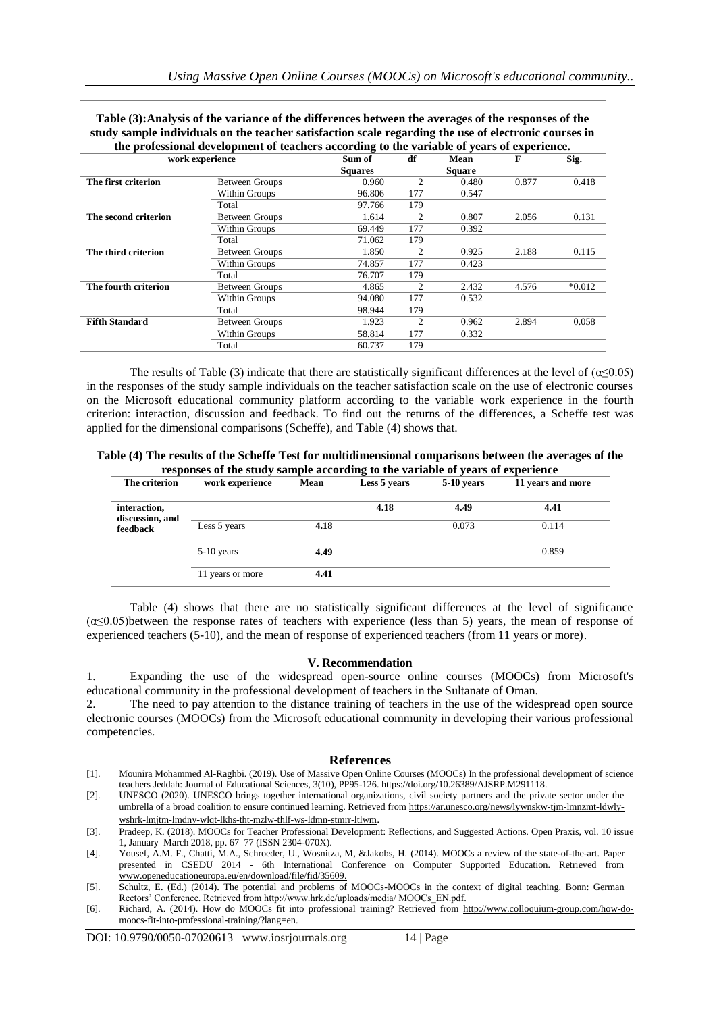| the professional development of teachers according to the variable of vears of experience. |                       |                |                |               |       |          |  |
|--------------------------------------------------------------------------------------------|-----------------------|----------------|----------------|---------------|-------|----------|--|
| work experience                                                                            | Sum of                | df             | Mean           | F             | Sig.  |          |  |
|                                                                                            |                       | <b>Squares</b> |                | <b>Square</b> |       |          |  |
| The first criterion                                                                        | <b>Between Groups</b> | 0.960          | 2              | 0.480         | 0.877 | 0.418    |  |
|                                                                                            | Within Groups         | 96.806         | 177            | 0.547         |       |          |  |
|                                                                                            | Total                 | 97.766         | 179            |               |       |          |  |
| The second criterion                                                                       | Between Groups        | 1.614          | $\mathfrak{D}$ | 0.807         | 2.056 | 0.131    |  |
|                                                                                            | Within Groups         | 69.449         | 177            | 0.392         |       |          |  |
|                                                                                            | Total                 | 71.062         | 179            |               |       |          |  |
| The third criterion                                                                        | Between Groups        | 1.850          | 2              | 0.925         | 2.188 | 0.115    |  |
|                                                                                            | Within Groups         | 74.857         | 177            | 0.423         |       |          |  |
|                                                                                            | Total                 | 76.707         | 179            |               |       |          |  |
| The fourth criterion                                                                       | <b>Between Groups</b> | 4.865          | 2              | 2.432         | 4.576 | $*0.012$ |  |
|                                                                                            | Within Groups         | 94.080         | 177            | 0.532         |       |          |  |
|                                                                                            | Total                 | 98.944         | 179            |               |       |          |  |
| <b>Fifth Standard</b>                                                                      | Between Groups        | 1.923          | 2              | 0.962         | 2.894 | 0.058    |  |
|                                                                                            | Within Groups         | 58.814         | 177            | 0.332         |       |          |  |
|                                                                                            | Total                 | 60.737         | 179            |               |       |          |  |

**Table (3):Analysis of the variance of the differences between the averages of the responses of the study sample individuals on the teacher satisfaction scale regarding the use of electronic courses in** 

The results of Table (3) indicate that there are statistically significant differences at the level of  $(\alpha \le 0.05)$ in the responses of the study sample individuals on the teacher satisfaction scale on the use of electronic courses on the Microsoft educational community platform according to the variable work experience in the fourth criterion: interaction, discussion and feedback. To find out the returns of the differences, a Scheffe test was applied for the dimensional comparisons (Scheffe), and Table (4) shows that.

**Table (4) The results of the Scheffe Test for multidimensional comparisons between the averages of the responses of the study sample according to the variable of years of experience**

| The criterion               | work experience  | Mean | Less 5 years | <b>5-10 years</b> | 11 years and more |
|-----------------------------|------------------|------|--------------|-------------------|-------------------|
| interaction,                |                  |      | 4.18         | 4.49              | 4.41              |
| discussion, and<br>feedback | Less 5 years     | 4.18 |              | 0.073             | 0.114             |
|                             | $5-10$ years     | 4.49 |              |                   | 0.859             |
|                             | 11 years or more | 4.41 |              |                   |                   |

Table (4) shows that there are no statistically significant differences at the level of significance  $(\alpha \le 0.05)$ between the response rates of teachers with experience (less than 5) years, the mean of response of experienced teachers (5-10), and the mean of response of experienced teachers (from 11 years or more).

#### **V. Recommendation**

1. Expanding the use of the widespread open-source online courses (MOOCs) from Microsoft's educational community in the professional development of teachers in the Sultanate of Oman.

2. The need to pay attention to the distance training of teachers in the use of the widespread open source electronic courses (MOOCs) from the Microsoft educational community in developing their various professional competencies.

#### **References**

[1]. Mounira Mohammed Al-Raghbi. (2019). Use of Massive Open Online Courses (MOOCs) In the professional development of science teachers Jeddah: Journal of Educational Sciences, 3(10), PP95-126. https://doi.org/10.26389/AJSRP.M291118.

[2]. UNESCO (2020). UNESCO brings together international organizations, civil society partners and the private sector under the umbrella of a broad coalition to ensure continued learning. Retrieved from [https://ar.unesco.org/news/lywnskw-tjm-lmnzmt-ldwly](https://ar.unesco.org/news/lywnskw-tjm-lmnzmt-ldwly-wshrk-lmjtm-lmdny-wlqt-lkhs-tht-mzlw-thlf-ws-ldmn-stmrr-ltlwm)[wshrk-lmjtm-lmdny-wlqt-lkhs-tht-mzlw-thlf-ws-ldmn-stmrr-ltlwm](https://ar.unesco.org/news/lywnskw-tjm-lmnzmt-ldwly-wshrk-lmjtm-lmdny-wlqt-lkhs-tht-mzlw-thlf-ws-ldmn-stmrr-ltlwm).

<sup>[3].</sup> Pradeep, K. (2018). MOOCs for Teacher Professional Development: Reflections, and Suggested Actions. Open Praxis, vol. 10 issue 1, January–March 2018, pp. 67–77 (ISSN 2304-070X).

<sup>[4].</sup> Yousef, A.M. F., Chatti, M.A., Schroeder, U., Wosnitza, M, &Jakobs, H. (2014). MOOCs a review of the state-of-the-art. Paper presented in CSEDU 2014 - 6th International Conference on Computer Supported Education. Retrieved from [www.openeducationeuropa.eu/en/download/file/fid/35609.](http://www.openeducationeuropa.eu/en/download/file/fid/35609)

<sup>[5].</sup> Schultz, E. (Ed.) (2014). The potential and problems of MOOCs-MOOCs in the context of digital teaching. Bonn: German Rectors' Conference. Retrieved from http://www.hrk.de/uploads/media/ MOOCs\_EN.pdf.

<sup>[6].</sup> Richard, A. (2014). How do MOOCs fit into professional training? Retrieved from [http://www.colloquium-group.com/how-do](http://www.colloquium-group.com/how-do-moocs-fit-into-professional-training/?lang=en)[moocs-fit-into-professional-training/?lang=en.](http://www.colloquium-group.com/how-do-moocs-fit-into-professional-training/?lang=en)